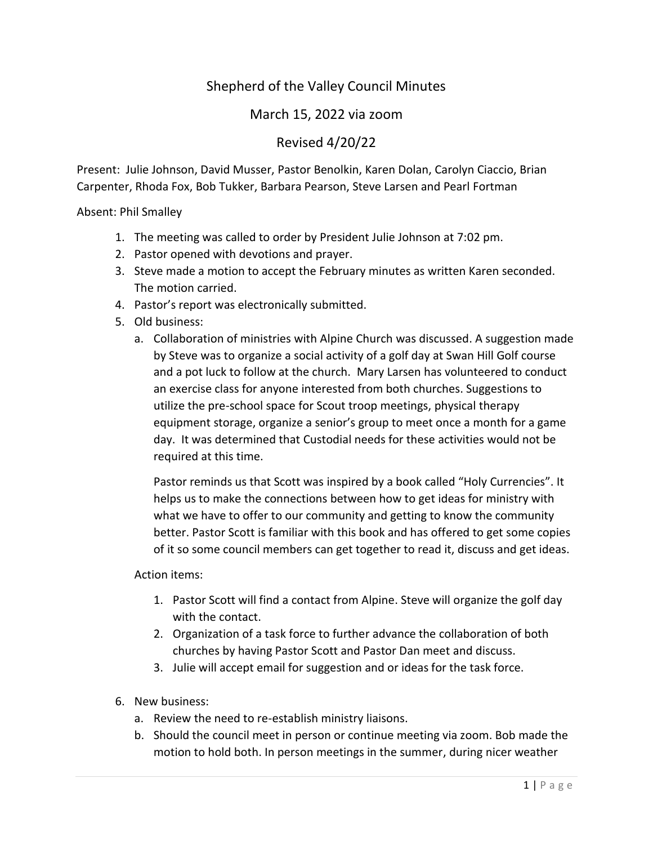## Shepherd of the Valley Council Minutes

## March 15, 2022 via zoom

## Revised 4/20/22

Present: Julie Johnson, David Musser, Pastor Benolkin, Karen Dolan, Carolyn Ciaccio, Brian Carpenter, Rhoda Fox, Bob Tukker, Barbara Pearson, Steve Larsen and Pearl Fortman

Absent: Phil Smalley

- 1. The meeting was called to order by President Julie Johnson at 7:02 pm.
- 2. Pastor opened with devotions and prayer.
- 3. Steve made a motion to accept the February minutes as written Karen seconded. The motion carried.
- 4. Pastor's report was electronically submitted.
- 5. Old business:
	- a. Collaboration of ministries with Alpine Church was discussed. A suggestion made by Steve was to organize a social activity of a golf day at Swan Hill Golf course and a pot luck to follow at the church. Mary Larsen has volunteered to conduct an exercise class for anyone interested from both churches. Suggestions to utilize the pre-school space for Scout troop meetings, physical therapy equipment storage, organize a senior's group to meet once a month for a game day. It was determined that Custodial needs for these activities would not be required at this time.

Pastor reminds us that Scott was inspired by a book called "Holy Currencies". It helps us to make the connections between how to get ideas for ministry with what we have to offer to our community and getting to know the community better. Pastor Scott is familiar with this book and has offered to get some copies of it so some council members can get together to read it, discuss and get ideas.

Action items:

- 1. Pastor Scott will find a contact from Alpine. Steve will organize the golf day with the contact.
- 2. Organization of a task force to further advance the collaboration of both churches by having Pastor Scott and Pastor Dan meet and discuss.
- 3. Julie will accept email for suggestion and or ideas for the task force.
- 6. New business:
	- a. Review the need to re-establish ministry liaisons.
	- b. Should the council meet in person or continue meeting via zoom. Bob made the motion to hold both. In person meetings in the summer, during nicer weather